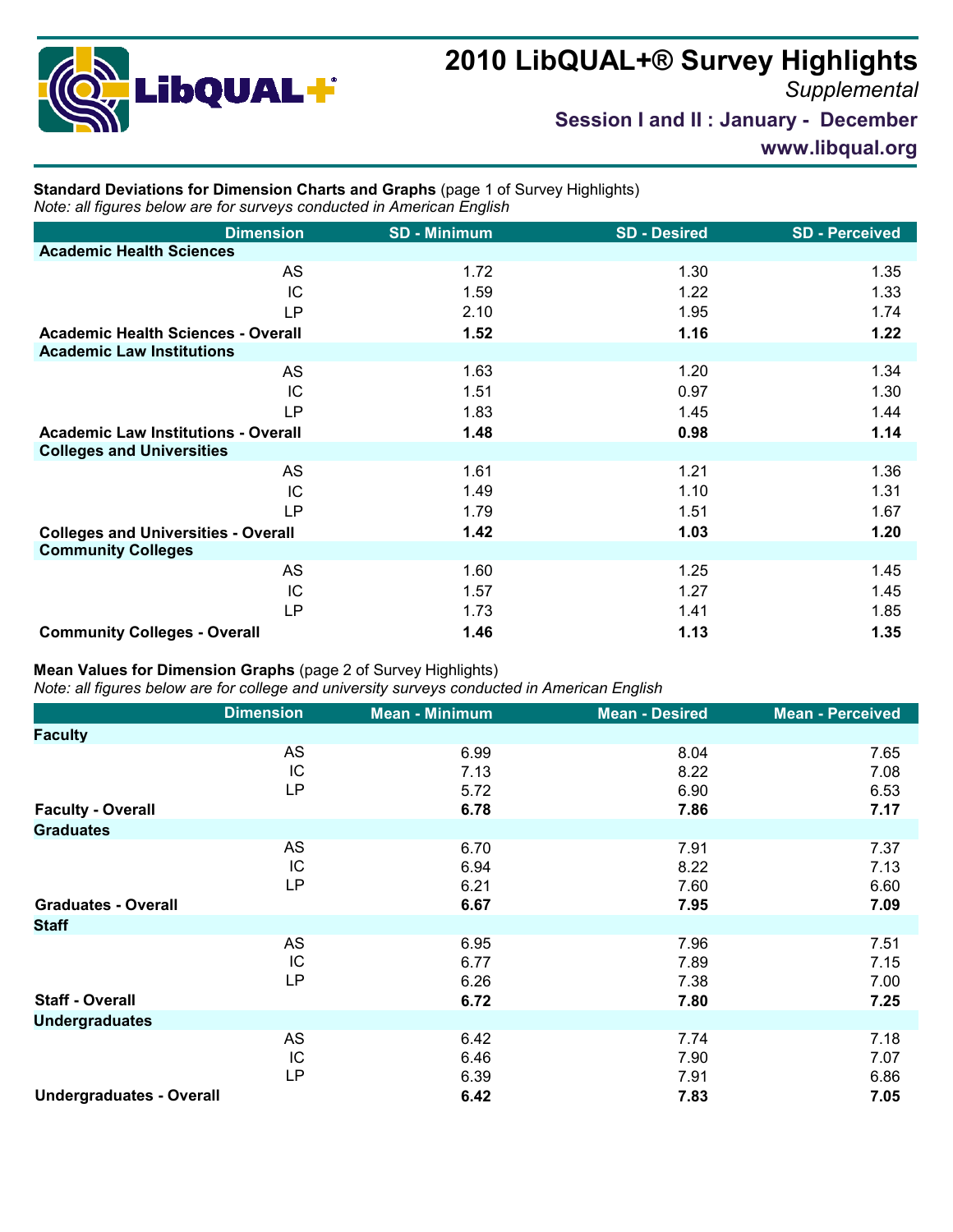## **2010 LibQUAL+® Survey Highlights**



*Supplemental*

**Session I and II : January - December**

**www.libqual.org**

## **Standard Deviations for Dimension Charts and Graphs** (page 1 of Survey Highlights) *Note: all figures below are for surveys conducted in American English*

| <b>Dimension</b>                           | <b>SD - Minimum</b> | <b>SD - Desired</b> | <b>SD-Perceived</b> |
|--------------------------------------------|---------------------|---------------------|---------------------|
| <b>Academic Health Sciences</b>            |                     |                     |                     |
| AS                                         | 1.72                | 1.30                | 1.35                |
| IC                                         | 1.59                | 1.22                | 1.33                |
| <b>LP</b>                                  | 2.10                | 1.95                | 1.74                |
| <b>Academic Health Sciences - Overall</b>  | 1.52                | 1.16                | 1.22                |
| <b>Academic Law Institutions</b>           |                     |                     |                     |
| AS                                         | 1.63                | 1.20                | 1.34                |
| IC                                         | 1.51                | 0.97                | 1.30                |
| <b>LP</b>                                  | 1.83                | 1.45                | 1.44                |
| <b>Academic Law Institutions - Overall</b> | 1.48                | 0.98                | 1.14                |
| <b>Colleges and Universities</b>           |                     |                     |                     |
| <b>AS</b>                                  | 1.61                | 1.21                | 1.36                |
| IC                                         | 1.49                | 1.10                | 1.31                |
| <b>LP</b>                                  | 1.79                | 1.51                | 1.67                |
| <b>Colleges and Universities - Overall</b> | 1.42                | 1.03                | 1.20                |
| <b>Community Colleges</b>                  |                     |                     |                     |
| AS                                         | 1.60                | 1.25                | 1.45                |
| IC                                         | 1.57                | 1.27                | 1.45                |
| LP                                         | 1.73                | 1.41                | 1.85                |
| <b>Community Colleges - Overall</b>        | 1.46                | 1.13                | 1.35                |

## **Mean Values for Dimension Graphs** (page 2 of Survey Highlights)

*Note: all figures below are for college and university surveys conducted in American English*

|                                 | <b>Dimension</b> | <b>Mean - Minimum</b> | <b>Mean - Desired</b> | <b>Mean - Perceived</b> |
|---------------------------------|------------------|-----------------------|-----------------------|-------------------------|
| <b>Faculty</b>                  |                  |                       |                       |                         |
|                                 | AS<br>IC<br>LP   | 6.99<br>7.13<br>5.72  | 8.04<br>8.22<br>6.90  | 7.65<br>7.08<br>6.53    |
| <b>Faculty - Overall</b>        |                  | 6.78                  | 7.86                  | 7.17                    |
| <b>Graduates</b>                |                  |                       |                       |                         |
|                                 | AS<br>IC<br>LP   | 6.70<br>6.94<br>6.21  | 7.91<br>8.22<br>7.60  | 7.37<br>7.13<br>6.60    |
| <b>Graduates - Overall</b>      |                  | 6.67                  | 7.95                  | 7.09                    |
| <b>Staff</b>                    |                  |                       |                       |                         |
|                                 | AS<br>IC<br>LP   | 6.95<br>6.77<br>6.26  | 7.96<br>7.89<br>7.38  | 7.51<br>7.15<br>7.00    |
| <b>Staff - Overall</b>          |                  | 6.72                  | 7.80                  | 7.25                    |
| <b>Undergraduates</b>           |                  |                       |                       |                         |
|                                 | AS<br>IC<br>LP   | 6.42<br>6.46<br>6.39  | 7.74<br>7.90<br>7.91  | 7.18<br>7.07<br>6.86    |
| <b>Undergraduates - Overall</b> |                  | 6.42                  | 7.83                  | 7.05                    |